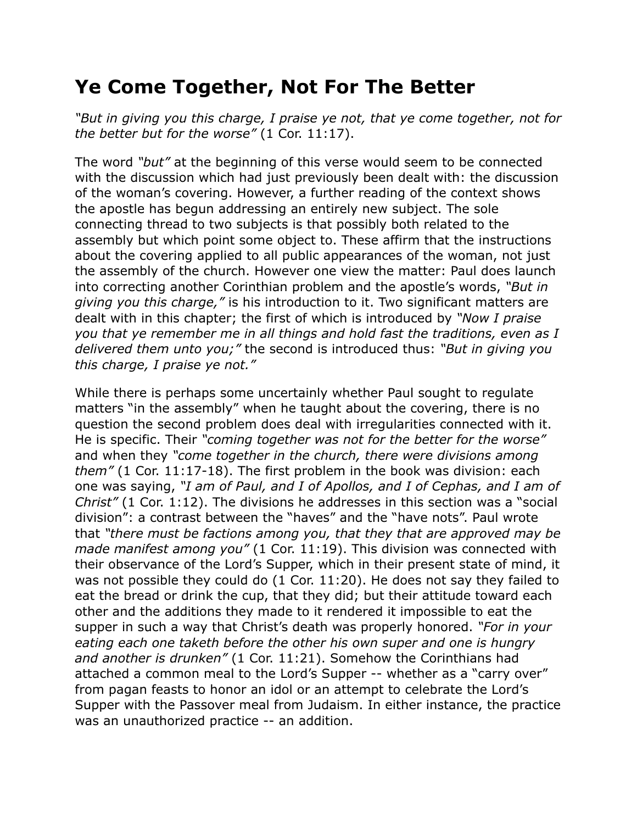## **Ye Come Together, Not For The Better**

*"But in giving you this charge, I praise ye not, that ye come together, not for the better but for the worse"* (1 Cor. 11:17).

The word *"but"* at the beginning of this verse would seem to be connected with the discussion which had just previously been dealt with: the discussion of the woman's covering. However, a further reading of the context shows the apostle has begun addressing an entirely new subject. The sole connecting thread to two subjects is that possibly both related to the assembly but which point some object to. These affirm that the instructions about the covering applied to all public appearances of the woman, not just the assembly of the church. However one view the matter: Paul does launch into correcting another Corinthian problem and the apostle's words, *"But in giving you this charge,"* is his introduction to it. Two significant matters are dealt with in this chapter; the first of which is introduced by *"Now I praise you that ye remember me in all things and hold fast the traditions, even as I delivered them unto you;"* the second is introduced thus: *"But in giving you this charge, I praise ye not."*

While there is perhaps some uncertainly whether Paul sought to regulate matters "in the assembly" when he taught about the covering, there is no question the second problem does deal with irregularities connected with it. He is specific. Their *"coming together was not for the better for the worse"* and when they *"come together in the church, there were divisions among them"* (1 Cor. 11:17-18). The first problem in the book was division: each one was saying, *"I am of Paul, and I of Apollos, and I of Cephas, and I am of Christ"* (1 Cor. 1:12). The divisions he addresses in this section was a "social division": a contrast between the "haves" and the "have nots". Paul wrote that *"there must be factions among you, that they that are approved may be made manifest among you"* (1 Cor. 11:19). This division was connected with their observance of the Lord's Supper, which in their present state of mind, it was not possible they could do (1 Cor. 11:20). He does not say they failed to eat the bread or drink the cup, that they did; but their attitude toward each other and the additions they made to it rendered it impossible to eat the supper in such a way that Christ's death was properly honored. *"For in your eating each one taketh before the other his own super and one is hungry and another is drunken"* (1 Cor. 11:21). Somehow the Corinthians had attached a common meal to the Lord's Supper -- whether as a "carry over" from pagan feasts to honor an idol or an attempt to celebrate the Lord's Supper with the Passover meal from Judaism. In either instance, the practice was an unauthorized practice -- an addition.